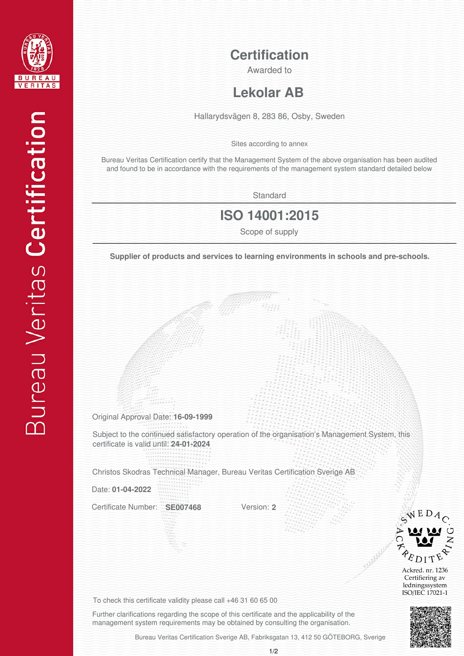

**Certification**

Awarded to

## **Lekolar AB**

Hallarydsvägen 8, 283 86, Osby, Sweden

Sites according to annex

Bureau Veritas Certification certify that the Management System of the above organisation has been audited and found to be in accordance with the requirements of the management system standard detailed below

**Standard** 

## **ISO 14001:2015**

**Scope of supply**<br>**Supplier of products and services to learning environments in schools and pre-schools.** 

Original Approval Date: **16-09-1999**

Subject to the continued satisfactory operation of the organisation's Management System, this certificate is valid until: **24-01-2024**

Christos Skodras Technical Manager, Bureau Veritas Certification Sverige AB

Date: **01-04-2022**

Certificate Number: **SE007468**

Version: **2**



Ackred. nr. 1236 Certifiering av ledningssystem ISO/IEC 17021-1



To check this certificate validity please call +46 31 60 65 00

Further clarifications regarding the scope of this certificate and the applicability of the management system requirements may be obtained by consulting the organisation.

Bureau Veritas Certification Sverige AB, Fabriksgatan 13, 412 50 GÖTEBORG, Sverige